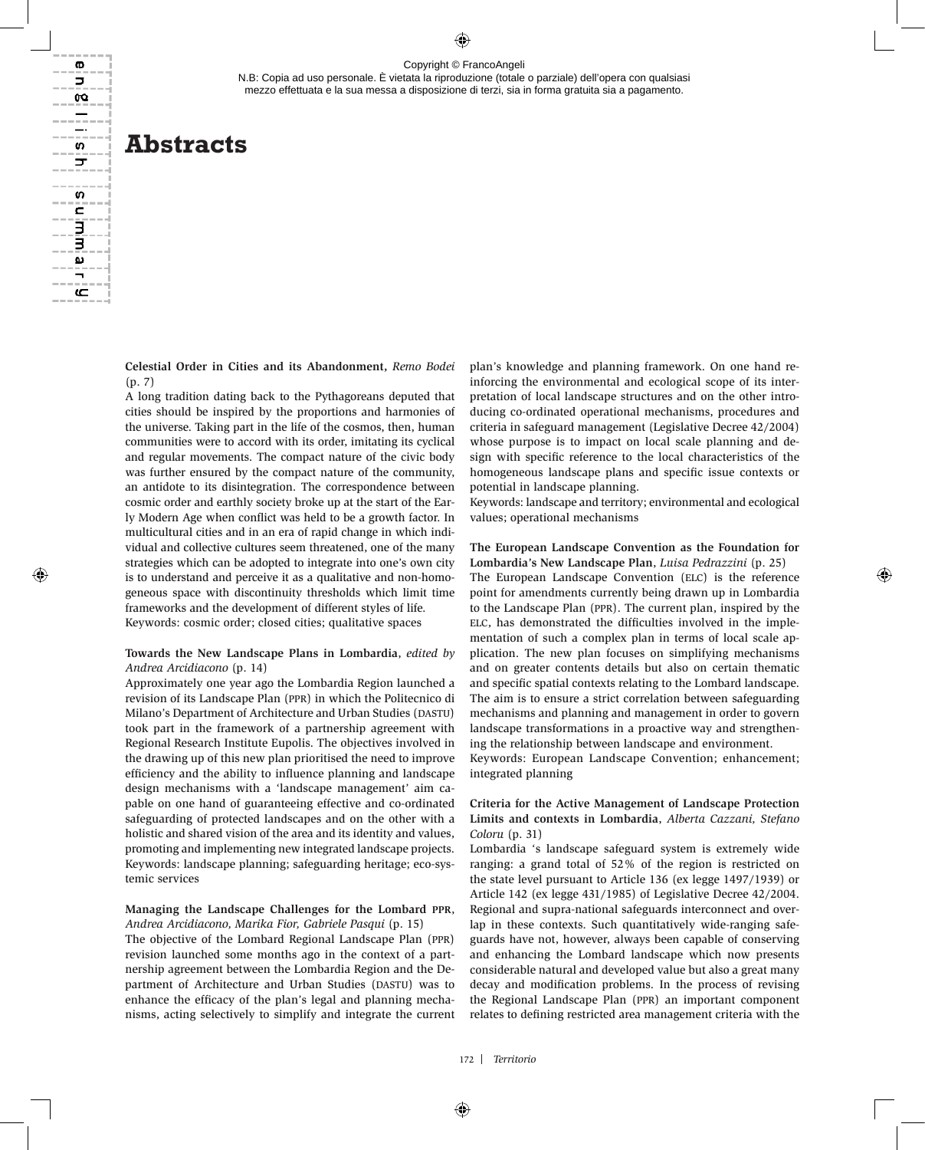N.B: Copia ad uso personale. È vietata la riproduzione (totale o parziale) dell'opera con qualsiasi mezzo effettuata e la sua messa a disposizione di terzi, sia in forma gratuita sia a pagamento.

# **Abstracts**

ወ  $\Box$ œ

s ᢖ

S c

Э ω

عه

**Celestial Order in Cities and its Abandonment,** *Remo Bodei*  (p. 7)

A long tradition dating back to the Pythagoreans deputed that cities should be inspired by the proportions and harmonies of the universe. Taking part in the life of the cosmos, then, human communities were to accord with its order, imitating its cyclical and regular movements. The compact nature of the civic body was further ensured by the compact nature of the community, an antidote to its disintegration. The correspondence between cosmic order and earthly society broke up at the start of the Early Modern Age when conflict was held to be a growth factor. In multicultural cities and in an era of rapid change in which individual and collective cultures seem threatened, one of the many strategies which can be adopted to integrate into one's own city is to understand and perceive it as a qualitative and non-homogeneous space with discontinuity thresholds which limit time frameworks and the development of different styles of life. Keywords: cosmic order; closed cities; qualitative spaces

#### **Towards the New Landscape Plans in Lombardia**, *edited by Andrea Arcidiacono* (p. 14)

Approximately one year ago the Lombardia Region launched a revision of its Landscape Plan (ppr) in which the Politecnico di Milano's Department of Architecture and Urban Studies (DASTU) took part in the framework of a partnership agreement with Regional Research Institute Eupolis. The objectives involved in the drawing up of this new plan prioritised the need to improve efficiency and the ability to influence planning and landscape design mechanisms with a 'landscape management' aim capable on one hand of guaranteeing effective and co-ordinated safeguarding of protected landscapes and on the other with a holistic and shared vision of the area and its identity and values, promoting and implementing new integrated landscape projects. Keywords: landscape planning; safeguarding heritage; eco-systemic services

# **Managing the Landscape Challenges for the Lombard ppr**, *Andrea Arcidiacono, Marika Fior, Gabriele Pasqui* (p. 15)

The objective of the Lombard Regional Landscape Plan (ppr) revision launched some months ago in the context of a partnership agreement between the Lombardia Region and the Department of Architecture and Urban Studies (DASTU) was to enhance the efficacy of the plan's legal and planning mechanisms, acting selectively to simplify and integrate the current plan's knowledge and planning framework. On one hand reinforcing the environmental and ecological scope of its interpretation of local landscape structures and on the other introducing co-ordinated operational mechanisms, procedures and criteria in safeguard management (Legislative Decree 42/2004) whose purpose is to impact on local scale planning and design with specific reference to the local characteristics of the homogeneous landscape plans and specific issue contexts or potential in landscape planning.

Keywords: landscape and territory; environmental and ecological values; operational mechanisms

#### **The European Landscape Convention as the Foundation for Lombardia's New Landscape Plan**, *Luisa Pedrazzini* (p. 25)

The European Landscape Convention (ELC) is the reference point for amendments currently being drawn up in Lombardia to the Landscape Plan (ppr). The current plan, inspired by the ELC, has demonstrated the difficulties involved in the implementation of such a complex plan in terms of local scale application. The new plan focuses on simplifying mechanisms and on greater contents details but also on certain thematic and specific spatial contexts relating to the Lombard landscape. The aim is to ensure a strict correlation between safeguarding mechanisms and planning and management in order to govern landscape transformations in a proactive way and strengthening the relationship between landscape and environment.

Keywords: European Landscape Convention; enhancement; integrated planning

# **Criteria for the Active Management of Landscape Protection Limits and contexts in Lombardia**, *Alberta Cazzani, Stefano Coloru* (p. 31)

Lombardia 's landscape safeguard system is extremely wide ranging: a grand total of 52% of the region is restricted on the state level pursuant to Article 136 (ex legge 1497/1939) or Article 142 (ex legge 431/1985) of Legislative Decree 42/2004. Regional and supra-national safeguards interconnect and overlap in these contexts. Such quantitatively wide-ranging safeguards have not, however, always been capable of conserving and enhancing the Lombard landscape which now presents considerable natural and developed value but also a great many decay and modification problems. In the process of revising the Regional Landscape Plan (ppr) an important component relates to defining restricted area management criteria with the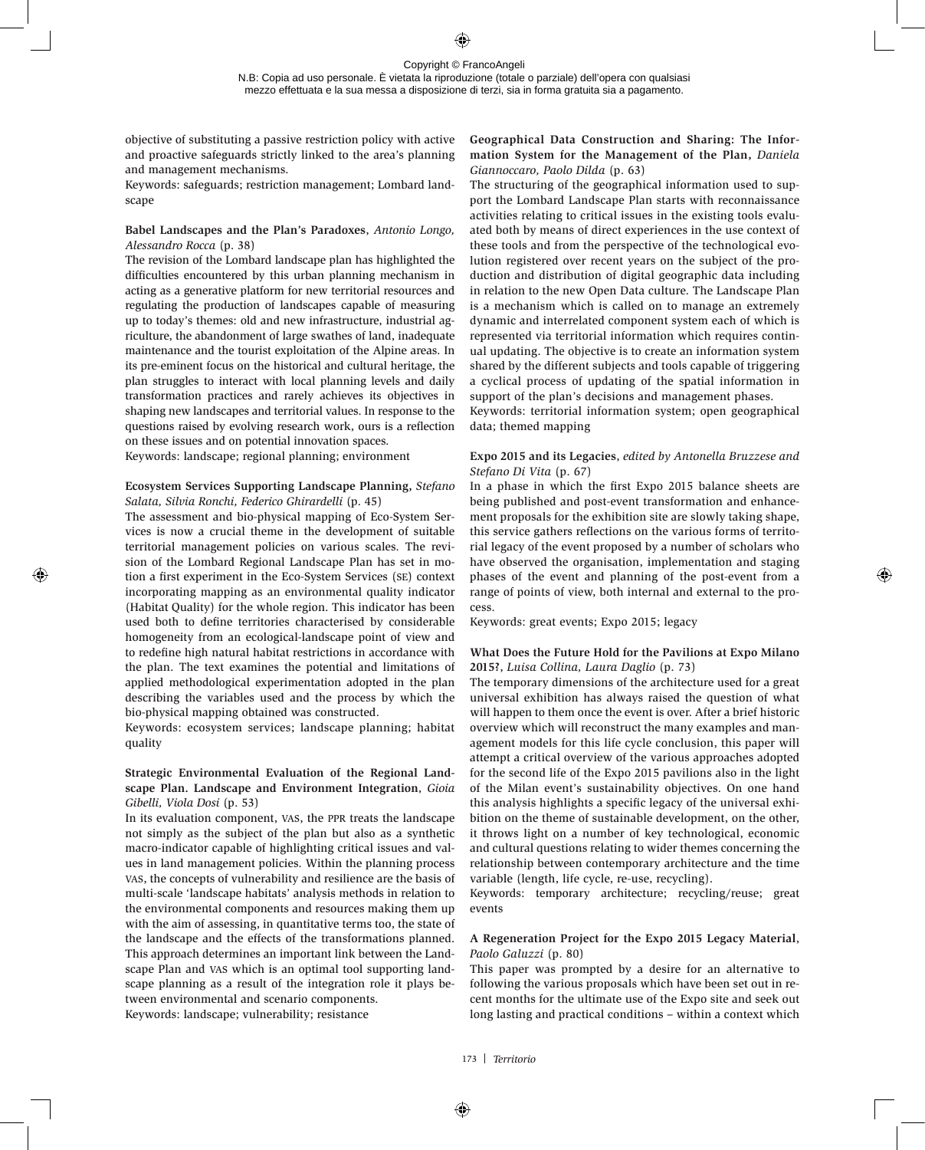N.B: Copia ad uso personale. È vietata la riproduzione (totale o parziale) dell'opera con qualsiasi mezzo effettuata e la sua messa a disposizione di terzi, sia in forma gratuita sia a pagamento.

objective of substituting a passive restriction policy with active and proactive safeguards strictly linked to the area's planning and management mechanisms.

Keywords: safeguards; restriction management; Lombard landscape

# **Babel Landscapes and the Plan's Paradoxes**, *Antonio Longo, Alessandro Rocca* (p. 38)

The revision of the Lombard landscape plan has highlighted the difficulties encountered by this urban planning mechanism in acting as a generative platform for new territorial resources and regulating the production of landscapes capable of measuring up to today's themes: old and new infrastructure, industrial agriculture, the abandonment of large swathes of land, inadequate maintenance and the tourist exploitation of the Alpine areas. In its pre-eminent focus on the historical and cultural heritage, the plan struggles to interact with local planning levels and daily transformation practices and rarely achieves its objectives in shaping new landscapes and territorial values. In response to the questions raised by evolving research work, ours is a reflection on these issues and on potential innovation spaces.

Keywords: landscape; regional planning; environment

#### **Ecosystem Services Supporting Landscape Planning,** *Stefano Salata, Silvia Ronchi, Federico Ghirardelli* (p. 45)

The assessment and bio-physical mapping of Eco-System Services is now a crucial theme in the development of suitable territorial management policies on various scales. The revision of the Lombard Regional Landscape Plan has set in motion a first experiment in the Eco-System Services (se) context incorporating mapping as an environmental quality indicator (Habitat Quality) for the whole region. This indicator has been used both to define territories characterised by considerable homogeneity from an ecological-landscape point of view and to redefine high natural habitat restrictions in accordance with the plan. The text examines the potential and limitations of applied methodological experimentation adopted in the plan describing the variables used and the process by which the bio-physical mapping obtained was constructed.

Keywords: ecosystem services; landscape planning; habitat quality

# **Strategic Environmental Evaluation of the Regional Landscape Plan. Landscape and Environment Integration**, *Gioia Gibelli, Viola Dosi* (p. 53)

In its evaluation component, vas, the ppr treats the landscape not simply as the subject of the plan but also as a synthetic macro-indicator capable of highlighting critical issues and values in land management policies. Within the planning process vas, the concepts of vulnerability and resilience are the basis of multi-scale 'landscape habitats' analysis methods in relation to the environmental components and resources making them up with the aim of assessing, in quantitative terms too, the state of the landscape and the effects of the transformations planned. This approach determines an important link between the Landscape Plan and vas which is an optimal tool supporting landscape planning as a result of the integration role it plays between environmental and scenario components.

Keywords: landscape; vulnerability; resistance

# **Geographical Data Construction and Sharing: The Information System for the Management of the Plan,** *Daniela Giannoccaro, Paolo Dilda* (p. 63)

The structuring of the geographical information used to support the Lombard Landscape Plan starts with reconnaissance activities relating to critical issues in the existing tools evaluated both by means of direct experiences in the use context of these tools and from the perspective of the technological evolution registered over recent years on the subject of the production and distribution of digital geographic data including in relation to the new Open Data culture. The Landscape Plan is a mechanism which is called on to manage an extremely dynamic and interrelated component system each of which is represented via territorial information which requires continual updating. The objective is to create an information system shared by the different subjects and tools capable of triggering a cyclical process of updating of the spatial information in support of the plan's decisions and management phases.

Keywords: territorial information system; open geographical data; themed mapping

# **Expo 2015 and its Legacies**, *edited by Antonella Bruzzese and Stefano Di Vita* (p. 67)

In a phase in which the first Expo 2015 balance sheets are being published and post-event transformation and enhancement proposals for the exhibition site are slowly taking shape, this service gathers reflections on the various forms of territorial legacy of the event proposed by a number of scholars who have observed the organisation, implementation and staging phases of the event and planning of the post-event from a range of points of view, both internal and external to the process.

Keywords: great events; Expo 2015; legacy

# **What Does the Future Hold for the Pavilions at Expo Milano 2015?**, *Luisa Collina, Laura Daglio* (p. 73)

The temporary dimensions of the architecture used for a great universal exhibition has always raised the question of what will happen to them once the event is over. After a brief historic overview which will reconstruct the many examples and management models for this life cycle conclusion, this paper will attempt a critical overview of the various approaches adopted for the second life of the Expo 2015 pavilions also in the light of the Milan event's sustainability objectives. On one hand this analysis highlights a specific legacy of the universal exhibition on the theme of sustainable development, on the other, it throws light on a number of key technological, economic and cultural questions relating to wider themes concerning the relationship between contemporary architecture and the time variable (length, life cycle, re-use, recycling).

Keywords: temporary architecture; recycling/reuse; great events

# **A Regeneration Project for the Expo 2015 Legacy Material**, *Paolo Galuzzi* (p. 80)

This paper was prompted by a desire for an alternative to following the various proposals which have been set out in recent months for the ultimate use of the Expo site and seek out long lasting and practical conditions – within a context which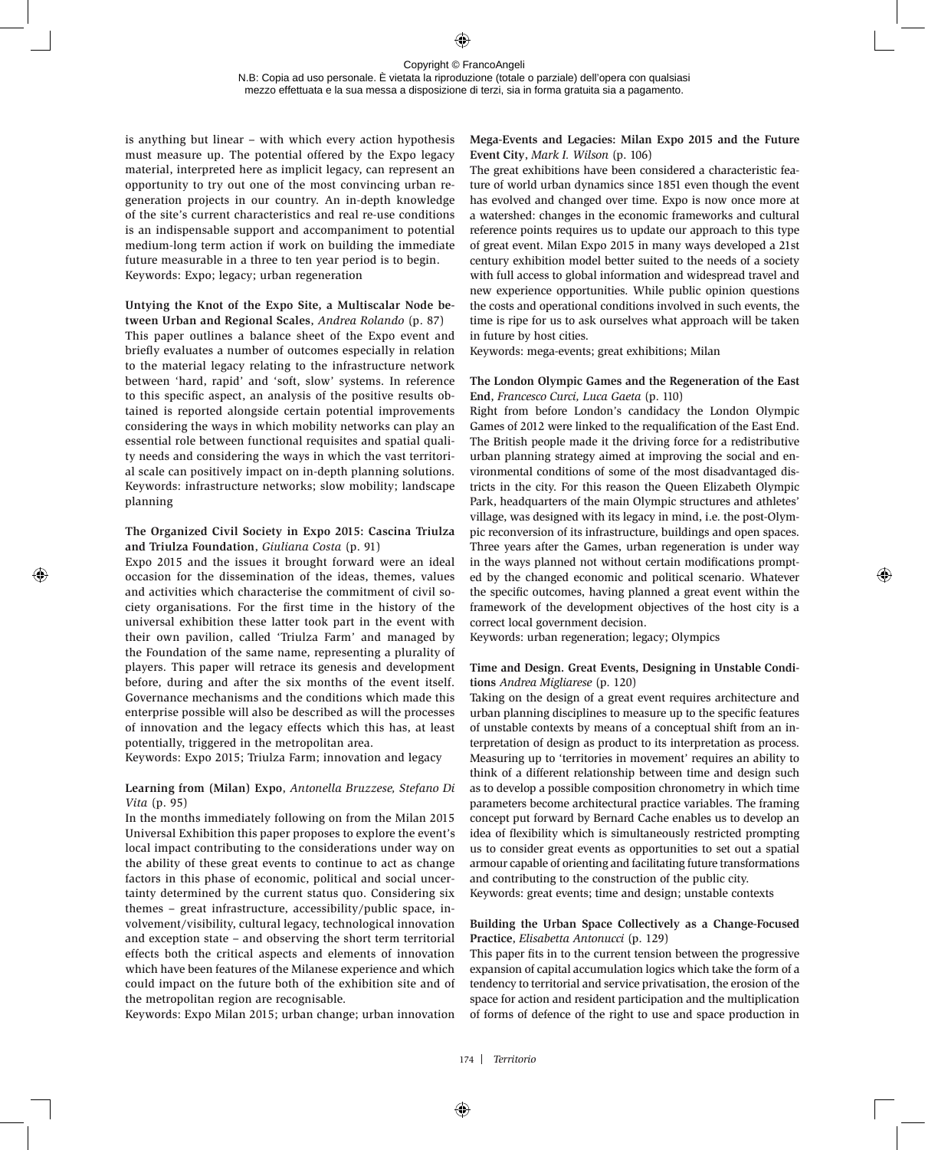is anything but linear – with which every action hypothesis must measure up. The potential offered by the Expo legacy material, interpreted here as implicit legacy, can represent an opportunity to try out one of the most convincing urban regeneration projects in our country. An in-depth knowledge of the site's current characteristics and real re-use conditions is an indispensable support and accompaniment to potential medium-long term action if work on building the immediate future measurable in a three to ten year period is to begin. Keywords: Expo; legacy; urban regeneration

# **Untying the Knot of the Expo Site, a Multiscalar Node be-**

**tween Urban and Regional Scales**, *Andrea Rolando* (p. 87) This paper outlines a balance sheet of the Expo event and briefly evaluates a number of outcomes especially in relation to the material legacy relating to the infrastructure network between 'hard, rapid' and 'soft, slow' systems. In reference to this specific aspect, an analysis of the positive results obtained is reported alongside certain potential improvements considering the ways in which mobility networks can play an essential role between functional requisites and spatial quality needs and considering the ways in which the vast territorial scale can positively impact on in-depth planning solutions. Keywords: infrastructure networks; slow mobility; landscape planning

# **The Organized Civil Society in Expo 2015: Cascina Triulza and Triulza Foundation**, *Giuliana Costa* (p. 91)

Expo 2015 and the issues it brought forward were an ideal occasion for the dissemination of the ideas, themes, values and activities which characterise the commitment of civil society organisations. For the first time in the history of the universal exhibition these latter took part in the event with their own pavilion, called 'Triulza Farm' and managed by the Foundation of the same name, representing a plurality of players. This paper will retrace its genesis and development before, during and after the six months of the event itself. Governance mechanisms and the conditions which made this enterprise possible will also be described as will the processes of innovation and the legacy effects which this has, at least potentially, triggered in the metropolitan area.

Keywords: Expo 2015; Triulza Farm; innovation and legacy

# **Learning from (Milan) Expo**, *Antonella Bruzzese, Stefano Di Vita* (p. 95)

In the months immediately following on from the Milan 2015 Universal Exhibition this paper proposes to explore the event's local impact contributing to the considerations under way on the ability of these great events to continue to act as change factors in this phase of economic, political and social uncertainty determined by the current status quo. Considering six themes – great infrastructure, accessibility/public space, involvement/visibility, cultural legacy, technological innovation and exception state – and observing the short term territorial effects both the critical aspects and elements of innovation which have been features of the Milanese experience and which could impact on the future both of the exhibition site and of the metropolitan region are recognisable.

Keywords: Expo Milan 2015; urban change; urban innovation

# **Mega-Events and Legacies: Milan Expo 2015 and the Future Event City**, *Mark I. Wilson* (p. 106)

The great exhibitions have been considered a characteristic feature of world urban dynamics since 1851 even though the event has evolved and changed over time. Expo is now once more at a watershed: changes in the economic frameworks and cultural reference points requires us to update our approach to this type of great event. Milan Expo 2015 in many ways developed a 21st century exhibition model better suited to the needs of a society with full access to global information and widespread travel and new experience opportunities. While public opinion questions the costs and operational conditions involved in such events, the time is ripe for us to ask ourselves what approach will be taken in future by host cities.

Keywords: mega-events; great exhibitions; Milan

# **The London Olympic Games and the Regeneration of the East End**, *Francesco Curci, Luca Gaeta* (p. 110)

Right from before London's candidacy the London Olympic Games of 2012 were linked to the requalification of the East End. The British people made it the driving force for a redistributive urban planning strategy aimed at improving the social and environmental conditions of some of the most disadvantaged districts in the city. For this reason the Queen Elizabeth Olympic Park, headquarters of the main Olympic structures and athletes' village, was designed with its legacy in mind, i.e. the post-Olympic reconversion of its infrastructure, buildings and open spaces. Three years after the Games, urban regeneration is under way in the ways planned not without certain modifications prompted by the changed economic and political scenario. Whatever the specific outcomes, having planned a great event within the framework of the development objectives of the host city is a correct local government decision.

Keywords: urban regeneration; legacy; Olympics

# **Time and Design. Great Events, Designing in Unstable Conditions** *Andrea Migliarese* (p. 120)

Taking on the design of a great event requires architecture and urban planning disciplines to measure up to the specific features of unstable contexts by means of a conceptual shift from an interpretation of design as product to its interpretation as process. Measuring up to 'territories in movement' requires an ability to think of a different relationship between time and design such as to develop a possible composition chronometry in which time parameters become architectural practice variables. The framing concept put forward by Bernard Cache enables us to develop an idea of flexibility which is simultaneously restricted prompting us to consider great events as opportunities to set out a spatial armour capable of orienting and facilitating future transformations and contributing to the construction of the public city.

Keywords: great events; time and design; unstable contexts

#### **Building the Urban Space Collectively as a Change-Focused Practice**, *Elisabetta Antonucci* (p. 129)

This paper fits in to the current tension between the progressive expansion of capital accumulation logics which take the form of a tendency to territorial and service privatisation, the erosion of the space for action and resident participation and the multiplication of forms of defence of the right to use and space production in